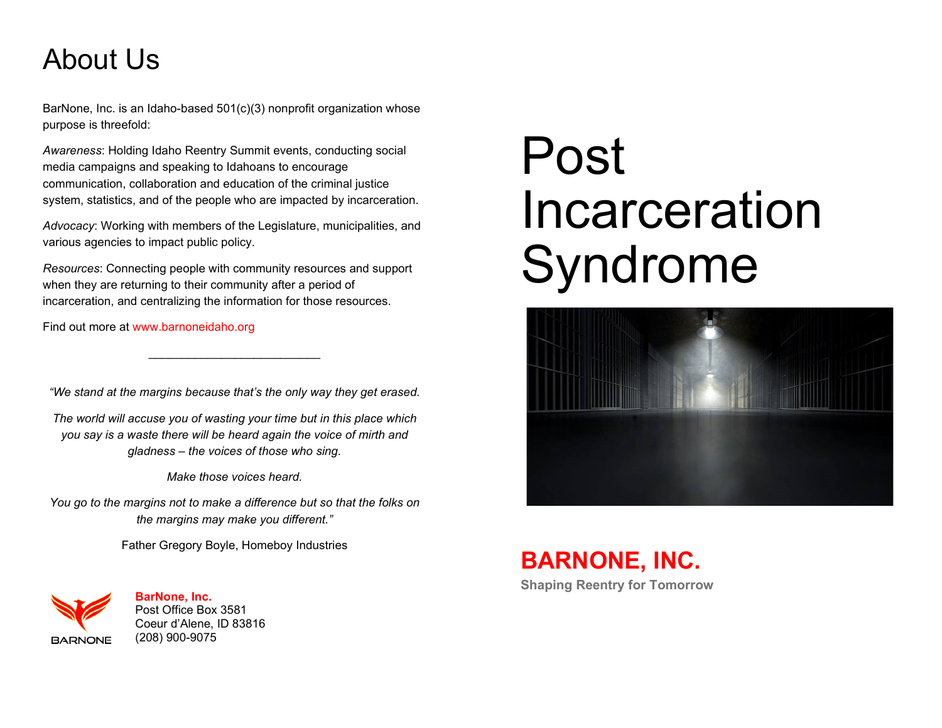# About Us

BarNone, Inc. is an Idaho-based 501(c)(3) nonprofit organization whose purpose is threefold:

*Awareness*: Holding Idaho Reentry Summit events, conducting social media campaigns and speaking to Idahoans to encourage communication, collaboration and education of the criminal justice system, statistics, and of the people who are impacted by incarceration.

*Advocacy*: Working with members of the Legislature, municipalities, and various agencies to impact public policy.

*Resources*: Connecting people with community resources and support when they are returning to their community after a period of incarceration, and centralizing the information for those resources.

Find out more at [www.barnoneidaho.org](http://www.barnoneidaho.org/)

*"We stand at the margins because that's the only way they get erased.*

\_\_\_\_\_\_\_\_\_\_\_\_\_\_\_\_\_\_\_\_\_\_\_\_\_\_

*The world will accuse you of wasting your time but in this place which you say is a waste there will be heard again the voice of mirth and gladness – the voices of those who sing.*

*Make those voices heard.*

*You go to the margins not to make a difference but so that the folks on the margins may make you different."* 

Father Gregory Boyle, Homeboy Industries



**BarNone, Inc.** Post Office Box 3581 Coeur d'Alene, ID 83816 (208) 900-9075

# Post Incarceration Syndrome



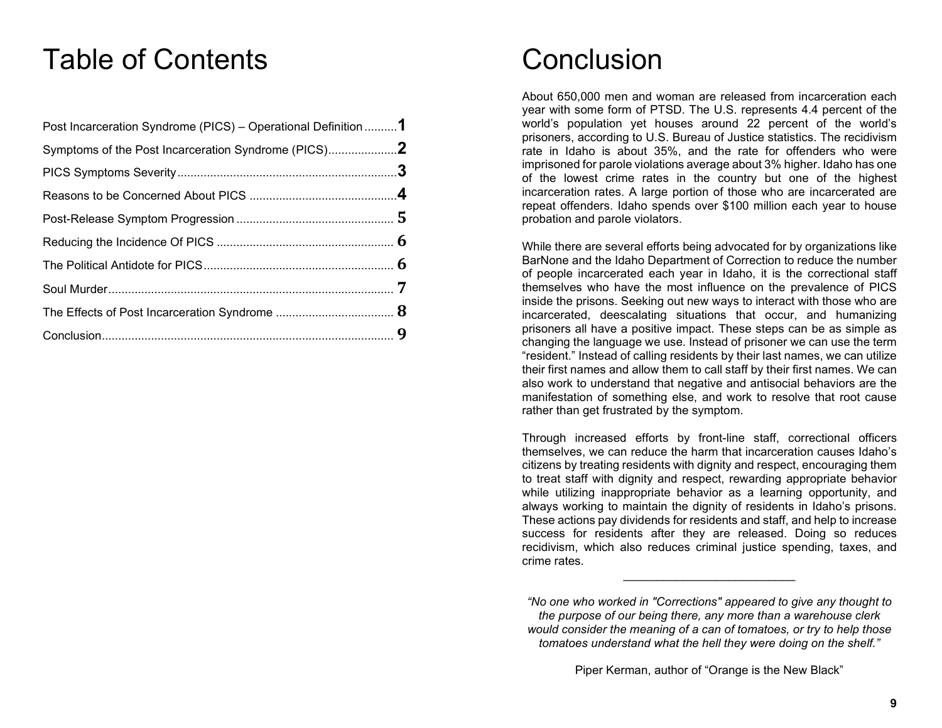### Table of Contents

| Post Incarceration Syndrome (PICS) - Operational Definition 1 |  |
|---------------------------------------------------------------|--|
| Symptoms of the Post Incarceration Syndrome (PICS)            |  |
|                                                               |  |
|                                                               |  |
|                                                               |  |
|                                                               |  |
|                                                               |  |
|                                                               |  |
|                                                               |  |
|                                                               |  |

### **Conclusion**

About 650,000 men and woman are released from incarceration each year with some form of PTSD. The U.S. represents 4.4 percent of the world's population yet houses around 22 percent of the world's prisoners, according to U.S. Bureau of Justice statistics. The recidivism rate in Idaho is about 35%, and the rate for offenders who were imprisoned for parole violations average about 3% higher. Idaho has one of the lowest crime rates in the country but one of the highest incarceration rates. A large portion of those who are incarcerated are repeat offenders. Idaho spends over \$100 million each year to house probation and parole violators.

While there are several efforts being advocated for by organizations like BarNone and the Idaho Department of Correction to reduce the number of people incarcerated each year in Idaho, it is the correctional staff themselves who have the most influence on the prevalence of PICS inside the prisons. Seeking out new ways to interact with those who are incarcerated, deescalating situations that occur, and humanizing prisoners all have a positive impact. These steps can be as simple as changing the language we use. Instead of prisoner we can use the term "resident." Instead of calling residents by their last names, we can utilize their first names and allow them to call staff by their first names. We can also work to understand that negative and antisocial behaviors are the manifestation of something else, and work to resolve that root cause rather than get frustrated by the symptom.

Through increased efforts by front-line staff, correctional officers themselves, we can reduce the harm that incarceration causes Idaho's citizens by treating residents with dignity and respect, encouraging them to treat staff with dignity and respect, rewarding appropriate behavior while utilizing inappropriate behavior as a learning opportunity, and always working to maintain the dignity of residents in Idaho's prisons. These actions pay dividends for residents and staff, and help to increase success for residents after they are released. Doing so reduces recidivism, which also reduces criminal justice spending, taxes, and crime rates.

\_\_\_\_\_\_\_\_\_\_\_\_\_\_\_\_\_\_\_\_\_\_\_\_\_\_

*<sup>&</sup>quot;No one who worked in "Corrections" appeared to give any thought to the purpose of our being there, any more than a warehouse clerk would consider the meaning of a can of tomatoes, or try to help those tomatoes understand what the hell they were doing on the shelf."*

Piper Kerman, author of "Orange is the New Black"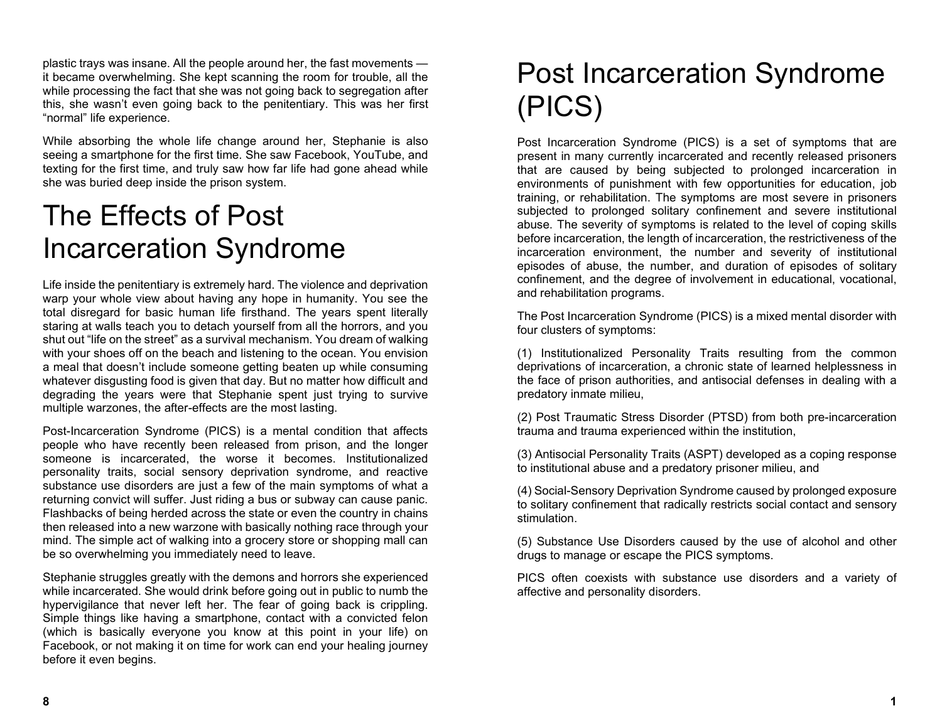plastic trays was insane. All the people around her, the fast movements it became overwhelming. She kept scanning the room for trouble, all the while processing the fact that she was not going back to segregation after this, she wasn't even going back to the penitentiary. This was her first "normal" life experience.

While absorbing the whole life change around her, Stephanie is also seeing a smartphone for the first time. She saw Facebook, YouTube, and texting for the first time, and truly saw how far life had gone ahead while she was buried deep inside the prison system.

### The Effects of Post Incarceration Syndrome

Life inside the penitentiary is extremely hard. The violence and deprivation warp your whole view about having any hope in humanity. You see the total disregard for basic human life firsthand. The years spent literally staring at walls teach you to detach yourself from all the horrors, and you shut out "life on the street" as a survival mechanism. You dream of walking with your shoes off on the beach and listening to the ocean. You envision a meal that doesn't include someone getting beaten up while consuming whatever disgusting food is given that day. But no matter how difficult and degrading the years were that Stephanie spent just trying to survive multiple warzones, the after-effects are the most lasting.

Post-Incarceration Syndrome (PICS) is a mental condition that affects people who have recently been released from prison, and the longer someone is incarcerated, the worse it becomes. Institutionalized personality traits, social sensory deprivation syndrome, and reactive substance use disorders are just a few of the main symptoms of what a returning convict will suffer. Just riding a bus or subway can cause panic. Flashbacks of being herded across the state or even the country in chains then released into a new warzone with basically nothing race through your mind. The simple act of walking into a grocery store or shopping mall can be so overwhelming you immediately need to leave.

Stephanie struggles greatly with the demons and horrors she experienced while incarcerated. She would drink before going out in public to numb the hypervigilance that never left her. The fear of going back is crippling. Simple things like having a smartphone, contact with a convicted felon (which is basically everyone you know at this point in your life) on Facebook, or not making it on time for work can end your healing journey before it even begins.

### Post Incarceration Syndrome (PICS)

Post Incarceration Syndrome (PICS) is a set of symptoms that are present in many currently incarcerated and recently released prisoners that are caused by being subjected to prolonged incarceration in environments of punishment with few opportunities for education, job training, or rehabilitation. The symptoms are most severe in prisoners subjected to prolonged solitary confinement and severe institutional abuse. The severity of symptoms is related to the level of coping skills before incarceration, the length of incarceration, the restrictiveness of the incarceration environment, the number and severity of institutional episodes of abuse, the number, and duration of episodes of solitary confinement, and the degree of involvement in educational, vocational, and rehabilitation programs.

The Post Incarceration Syndrome (PICS) is a mixed mental disorder with four clusters of symptoms:

(1) Institutionalized Personality Traits resulting from the common deprivations of incarceration, a chronic state of learned helplessness in the face of prison authorities, and antisocial defenses in dealing with a predatory inmate milieu,

(2) Post Traumatic Stress Disorder (PTSD) from both pre-incarceration trauma and trauma experienced within the institution,

(3) Antisocial Personality Traits (ASPT) developed as a coping response to institutional abuse and a predatory prisoner milieu, and

(4) Social-Sensory Deprivation Syndrome caused by prolonged exposure to solitary confinement that radically restricts social contact and sensory stimulation.

(5) Substance Use Disorders caused by the use of alcohol and other drugs to manage or escape the PICS symptoms.

PICS often coexists with substance use disorders and a variety of affective and personality disorders.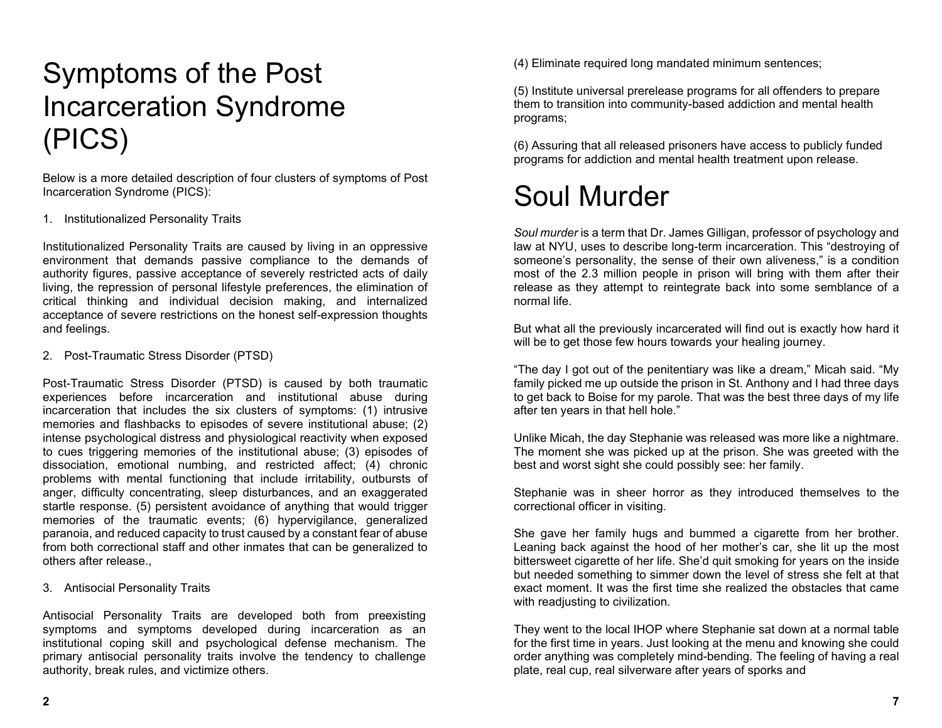# Symptoms of the Post Incarceration Syndrome (PICS)

Below is a more detailed description of four clusters of symptoms of Post Incarceration Syndrome (PICS):

#### 1. Institutionalized Personality Traits

Institutionalized Personality Traits are caused by living in an oppressive environment that demands passive compliance to the demands of authority figures, passive acceptance of severely restricted acts of daily living, the repression of personal lifestyle preferences, the elimination of critical thinking and individual decision making, and internalized acceptance of severe restrictions on the honest self-expression thoughts and feelings.

2. Post-Traumatic Stress Disorder (PTSD)

Post-Traumatic Stress Disorder (PTSD) is caused by both traumatic experiences before incarceration and institutional abuse during incarceration that includes the six clusters of symptoms: (1) intrusive memories and flashbacks to episodes of severe institutional abuse; (2) intense psychological distress and physiological reactivity when exposed to cues triggering memories of the institutional abuse; (3) episodes of dissociation, emotional numbing, and restricted affect; (4) chronic problems with mental functioning that include irritability, outbursts of anger, difficulty concentrating, sleep disturbances, and an exaggerated startle response. (5) persistent avoidance of anything that would trigger memories of the traumatic events; (6) hypervigilance, generalized paranoia, and reduced capacity to trust caused by a constant fear of abuse from both correctional staff and other inmates that can be generalized to others after release.,

3. Antisocial Personality Traits

Antisocial Personality Traits are developed both from preexisting symptoms and symptoms developed during incarceration as an institutional coping skill and psychological defense mechanism. The primary antisocial personality traits involve the tendency to challenge authority, break rules, and victimize others.

(4) Eliminate required long mandated minimum sentences;

(5) Institute universal prerelease programs for all offenders to prepare them to transition into community-based addiction and mental health programs;

(6) Assuring that all released prisoners have access to publicly funded programs for addiction and mental health treatment upon release.

### Soul Murder

*Soul murder* is a term that Dr. James Gilligan, professor of psychology and law at NYU, uses to describe long-term incarceration. This "destroying of someone's personality, the sense of their own aliveness," is a condition most of the 2.3 million people in prison will bring with them after their release as they attempt to reintegrate back into some semblance of a normal life.

But what all the previously incarcerated will find out is exactly how hard it will be to get those few hours towards your healing journey.

"The day I got out of the penitentiary was like a dream," Micah said. "My family picked me up outside the prison in St. Anthony and I had three days to get back to Boise for my parole. That was the best three days of my life after ten years in that hell hole."

Unlike Micah, the day Stephanie was released was more like a nightmare. The moment she was picked up at the prison. She was greeted with the best and worst sight she could possibly see: her family.

Stephanie was in sheer horror as they introduced themselves to the correctional officer in visiting.

She gave her family hugs and bummed a cigarette from her brother. Leaning back against the hood of her mother's car, she lit up the most bittersweet cigarette of her life. She'd quit smoking for years on the inside but needed something to simmer down the level of stress she felt at that exact moment. It was the first time she realized the obstacles that came with readjusting to civilization.

They went to the local IHOP where Stephanie sat down at a normal table for the first time in years. Just looking at the menu and knowing she could order anything was completely mind-bending. The feeling of having a real plate, real cup, real silverware after years of sporks and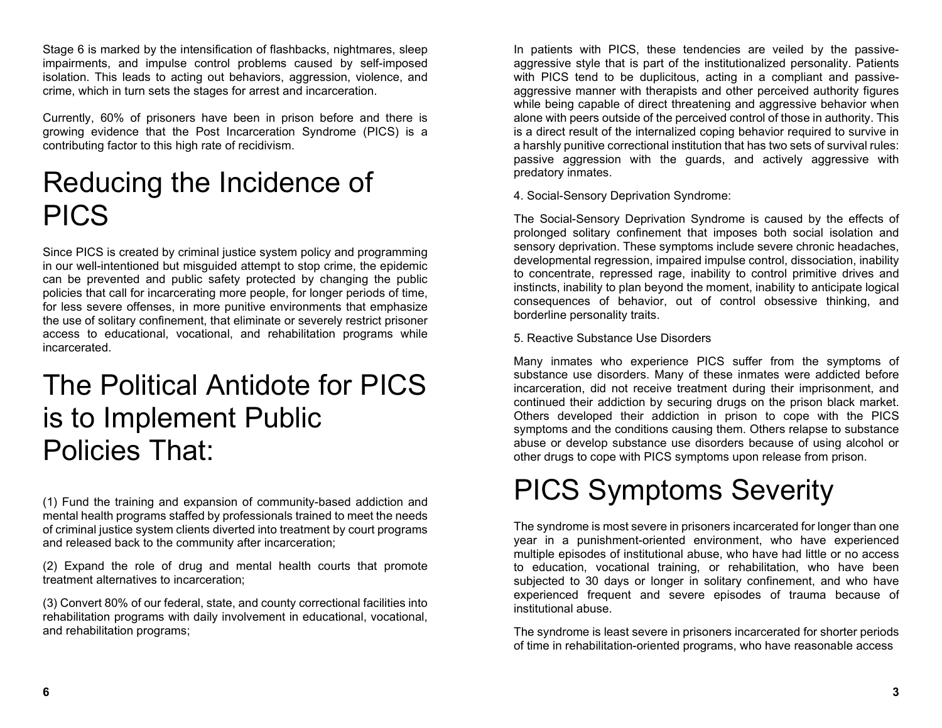Stage 6 is marked by the intensification of flashbacks, nightmares, sleep impairments, and impulse control problems caused by self-imposed isolation. This leads to acting out behaviors, aggression, violence, and crime, which in turn sets the stages for arrest and incarceration.

Currently, 60% of prisoners have been in prison before and there is growing evidence that the Post Incarceration Syndrome (PICS) is a contributing factor to this high rate of recidivism.

# Reducing the Incidence of PICS

Since PICS is created by criminal justice system policy and programming in our well-intentioned but misguided attempt to stop crime, the epidemic can be prevented and public safety protected by changing the public policies that call for incarcerating more people, for longer periods of time, for less severe offenses, in more punitive environments that emphasize the use of solitary confinement, that eliminate or severely restrict prisoner access to educational, vocational, and rehabilitation programs while incarcerated.

### The Political Antidote for PICS is to Implement Public Policies That:

(1) Fund the training and expansion of community-based addiction and mental health programs staffed by professionals trained to meet the needs of criminal justice system clients diverted into treatment by court programs and released back to the community after incarceration;

(2) Expand the role of drug and mental health courts that promote treatment alternatives to incarceration;

(3) Convert 80% of our federal, state, and county correctional facilities into rehabilitation programs with daily involvement in educational, vocational, and rehabilitation programs;

In patients with PICS, these tendencies are veiled by the passiveaggressive style that is part of the institutionalized personality. Patients with PICS tend to be duplicitous, acting in a compliant and passiveaggressive manner with therapists and other perceived authority figures while being capable of direct threatening and aggressive behavior when alone with peers outside of the perceived control of those in authority. This is a direct result of the internalized coping behavior required to survive in a harshly punitive correctional institution that has two sets of survival rules: passive aggression with the guards, and actively aggressive with predatory inmates.

4. Social-Sensory Deprivation Syndrome:

The Social-Sensory Deprivation Syndrome is caused by the effects of prolonged solitary confinement that imposes both social isolation and sensory deprivation. These symptoms include severe chronic headaches, developmental regression, impaired impulse control, dissociation, inability to concentrate, repressed rage, inability to control primitive drives and instincts, inability to plan beyond the moment, inability to anticipate logical consequences of behavior, out of control obsessive thinking, and borderline personality traits.

5. Reactive Substance Use Disorders

Many inmates who experience PICS suffer from the symptoms of substance use disorders. Many of these inmates were addicted before incarceration, did not receive treatment during their imprisonment, and continued their addiction by securing drugs on the prison black market. Others developed their addiction in prison to cope with the PICS symptoms and the conditions causing them. Others relapse to substance abuse or develop substance use disorders because of using alcohol or other drugs to cope with PICS symptoms upon release from prison.

# PICS Symptoms Severity

The syndrome is most severe in prisoners incarcerated for longer than one year in a punishment-oriented environment, who have experienced multiple episodes of institutional abuse, who have had little or no access to education, vocational training, or rehabilitation, who have been subjected to 30 days or longer in solitary confinement, and who have experienced frequent and severe episodes of trauma because of institutional abuse.

The syndrome is least severe in prisoners incarcerated for shorter periods of time in rehabilitation-oriented programs, who have reasonable access